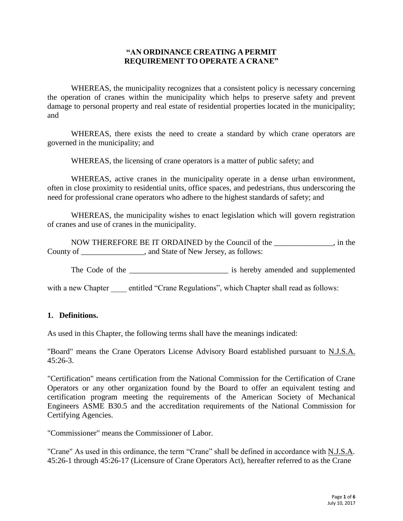## **"AN ORDINANCE CREATING A PERMIT REQUIREMENT TO OPERATE A CRANE"**

WHEREAS, the municipality recognizes that a consistent policy is necessary concerning the operation of cranes within the municipality which helps to preserve safety and prevent damage to personal property and real estate of residential properties located in the municipality; and

WHEREAS, there exists the need to create a standard by which crane operators are governed in the municipality; and

WHEREAS, the licensing of crane operators is a matter of public safety; and

WHEREAS, active cranes in the municipality operate in a dense urban environment, often in close proximity to residential units, office spaces, and pedestrians, thus underscoring the need for professional crane operators who adhere to the highest standards of safety; and

WHEREAS, the municipality wishes to enact legislation which will govern registration of cranes and use of cranes in the municipality.

NOW THEREFORE BE IT ORDAINED by the Council of the \_\_\_\_\_\_\_\_\_\_\_\_\_\_\_, in the County of \_\_\_\_\_\_\_\_\_\_\_\_\_\_, and State of New Jersey, as follows:

The Code of the \_\_\_\_\_\_\_\_\_\_\_\_\_\_\_\_\_\_\_\_\_\_\_\_\_ is hereby amended and supplemented

with a new Chapter entitled "Crane Regulations", which Chapter shall read as follows:

### **1. Definitions.**

As used in this Chapter, the following terms shall have the meanings indicated:

"Board" means the Crane Operators License Advisory Board established pursuant to N.J.S.A. 45:26-3.

"Certification" means certification from the National Commission for the Certification of Crane Operators or any other organization found by the Board to offer an equivalent testing and certification program meeting the requirements of the American Society of Mechanical Engineers ASME B30.5 and the accreditation requirements of the National Commission for Certifying Agencies.

"Commissioner" means the Commissioner of Labor.

"Crane" As used in this ordinance, the term "Crane" shall be defined in accordance with N.J.S.A. 45:26-1 through 45:26-17 (Licensure of Crane Operators Act), hereafter referred to as the Crane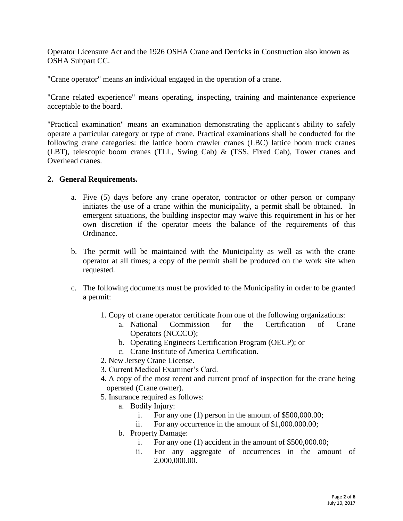Operator Licensure Act and the [1926 OSHA Crane and Derricks in Construction](https://www.osha.gov/pls/oshaweb/owasrch.search_form?p_doc_type=STANDARDS&p_toc_level=1&p_keyvalue=1926) also known as OSHA Subpart CC.

"Crane operator" means an individual engaged in the operation of a crane.

"Crane related experience" means operating, inspecting, training and maintenance experience acceptable to the board.

"Practical examination" means an examination demonstrating the applicant's ability to safely operate a particular category or type of crane. Practical examinations shall be conducted for the following crane categories: the lattice boom crawler cranes (LBC) lattice boom truck cranes (LBT), telescopic boom cranes (TLL, Swing Cab) & (TSS, Fixed Cab), Tower cranes and Overhead cranes.

## **2. General Requirements.**

- a. Five (5) days before any crane operator, contractor or other person or company initiates the use of a crane within the municipality, a permit shall be obtained. In emergent situations, the building inspector may waive this requirement in his or her own discretion if the operator meets the balance of the requirements of this Ordinance.
- b. The permit will be maintained with the Municipality as well as with the crane operator at all times; a copy of the permit shall be produced on the work site when requested.
- c. The following documents must be provided to the Municipality in order to be granted a permit:
	- 1. Copy of crane operator certificate from one of the following organizations:
		- a. National Commission for the Certification of Crane Operators (NCCCO);
		- b. Operating Engineers Certification Program (OECP); or
		- c. Crane Institute of America Certification.
	- 2. New Jersey Crane License.
	- 3. Current Medical Examiner's Card.
	- 4. A copy of the most recent and current proof of inspection for the crane being operated (Crane owner).
	- 5. Insurance required as follows:
		- a. Bodily Injury:
			- i. For any one (1) person in the amount of \$500,000.00;
			- ii. For any occurrence in the amount of \$1,000.000.00;
		- b. Property Damage:
			- i. For any one (1) accident in the amount of \$500,000.00;
			- ii. For any aggregate of occurrences in the amount of 2,000,000.00.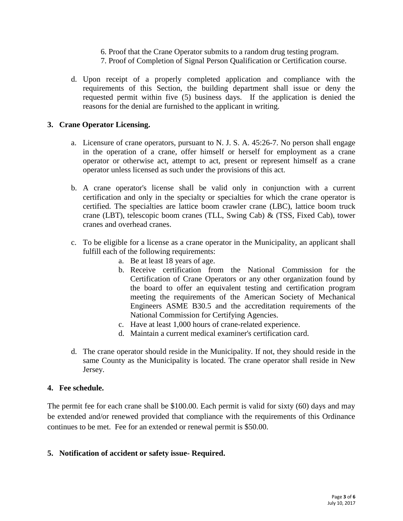- 6. Proof that the Crane Operator submits to a random drug testing program.
- 7. Proof of Completion of Signal Person Qualification or Certification course.
- d. Upon receipt of a properly completed application and compliance with the requirements of this Section, the building department shall issue or deny the requested permit within five (5) business days. If the application is denied the reasons for the denial are furnished to the applicant in writing.

### **3. Crane Operator Licensing.**

- a. Licensure of crane operators, pursuant to N. J. S. A. 45:26-7. No person shall engage in the operation of a crane, offer himself or herself for employment as a crane operator or otherwise act, attempt to act, present or represent himself as a crane operator unless licensed as such under the provisions of this act.
- b. A crane operator's license shall be valid only in conjunction with a current certification and only in the specialty or specialties for which the crane operator is certified. The specialties are lattice boom crawler crane (LBC), lattice boom truck crane (LBT), telescopic boom cranes (TLL, Swing Cab) & (TSS, Fixed Cab), tower cranes and overhead cranes.
- c. To be eligible for a license as a crane operator in the Municipality, an applicant shall fulfill each of the following requirements:
	- a. Be at least 18 years of age.
	- b. Receive certification from the National Commission for the Certification of Crane Operators or any other organization found by the board to offer an equivalent testing and certification program meeting the requirements of the American Society of Mechanical Engineers ASME B30.5 and the accreditation requirements of the National Commission for Certifying Agencies.
	- c. Have at least 1,000 hours of crane-related experience.
	- d. Maintain a current medical examiner's certification card.
- d. The crane operator should reside in the Municipality. If not, they should reside in the same County as the Municipality is located. The crane operator shall reside in New Jersey.

## **4. Fee schedule.**

The permit fee for each crane shall be \$100.00. Each permit is valid for sixty (60) days and may be extended and/or renewed provided that compliance with the requirements of this Ordinance continues to be met. Fee for an extended or renewal permit is \$50.00.

### **5. Notification of accident or safety issue- Required.**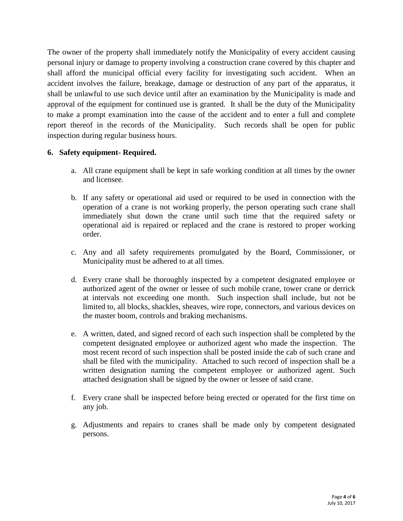The owner of the property shall immediately notify the Municipality of every accident causing personal injury or damage to property involving a construction crane covered by this chapter and shall afford the municipal official every facility for investigating such accident. When an accident involves the failure, breakage, damage or destruction of any part of the apparatus, it shall be unlawful to use such device until after an examination by the Municipality is made and approval of the equipment for continued use is granted. It shall be the duty of the Municipality to make a prompt examination into the cause of the accident and to enter a full and complete report thereof in the records of the Municipality. Such records shall be open for public inspection during regular business hours.

# **6. Safety equipment- Required.**

- a. All crane equipment shall be kept in safe working condition at all times by the owner and licensee.
- b. If any safety or operational aid used or required to be used in connection with the operation of a crane is not working properly, the person operating such crane shall immediately shut down the crane until such time that the required safety or operational aid is repaired or replaced and the crane is restored to proper working order.
- c. Any and all safety requirements promulgated by the Board, Commissioner, or Municipality must be adhered to at all times.
- d. Every crane shall be thoroughly inspected by a competent designated employee or authorized agent of the owner or lessee of such mobile crane, tower crane or derrick at intervals not exceeding one month. Such inspection shall include, but not be limited to, all blocks, shackles, sheaves, wire rope, connectors, and various devices on the master boom, controls and braking mechanisms.
- e. A written, dated, and signed record of each such inspection shall be completed by the competent designated employee or authorized agent who made the inspection. The most recent record of such inspection shall be posted inside the cab of such crane and shall be filed with the municipality. Attached to such record of inspection shall be a written designation naming the competent employee or authorized agent. Such attached designation shall be signed by the owner or lessee of said crane.
- f. Every crane shall be inspected before being erected or operated for the first time on any job.
- g. Adjustments and repairs to cranes shall be made only by competent designated persons.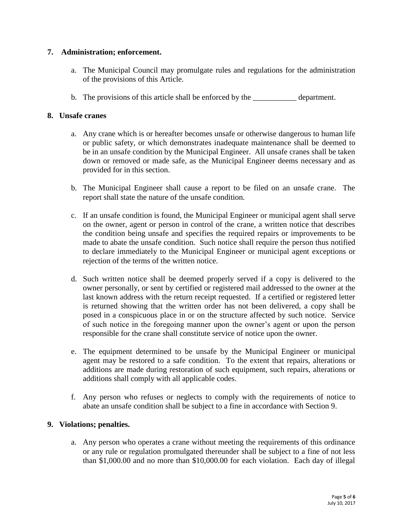## **7. Administration; enforcement.**

- a. The Municipal Council may promulgate rules and regulations for the administration of the provisions of this Article.
- b. The provisions of this article shall be enforced by the \_\_\_\_\_\_\_\_\_\_\_ department.

## **8. Unsafe cranes**

- a. Any crane which is or hereafter becomes unsafe or otherwise dangerous to human life or public safety, or which demonstrates inadequate maintenance shall be deemed to be in an unsafe condition by the Municipal Engineer. All unsafe cranes shall be taken down or removed or made safe, as the Municipal Engineer deems necessary and as provided for in this section.
- b. The Municipal Engineer shall cause a report to be filed on an unsafe crane. The report shall state the nature of the unsafe condition.
- c. If an unsafe condition is found, the Municipal Engineer or municipal agent shall serve on the owner, agent or person in control of the crane, a written notice that describes the condition being unsafe and specifies the required repairs or improvements to be made to abate the unsafe condition. Such notice shall require the person thus notified to declare immediately to the Municipal Engineer or municipal agent exceptions or rejection of the terms of the written notice.
- d. Such written notice shall be deemed properly served if a copy is delivered to the owner personally, or sent by certified or registered mail addressed to the owner at the last known address with the return receipt requested. If a certified or registered letter is returned showing that the written order has not been delivered, a copy shall be posed in a conspicuous place in or on the structure affected by such notice. Service of such notice in the foregoing manner upon the owner's agent or upon the person responsible for the crane shall constitute service of notice upon the owner.
- e. The equipment determined to be unsafe by the Municipal Engineer or municipal agent may be restored to a safe condition. To the extent that repairs, alterations or additions are made during restoration of such equipment, such repairs, alterations or additions shall comply with all applicable codes.
- f. Any person who refuses or neglects to comply with the requirements of notice to abate an unsafe condition shall be subject to a fine in accordance with Section 9.

# **9. Violations; penalties.**

a. Any person who operates a crane without meeting the requirements of this ordinance or any rule or regulation promulgated thereunder shall be subject to a fine of not less than \$1,000.00 and no more than \$10,000.00 for each violation. Each day of illegal